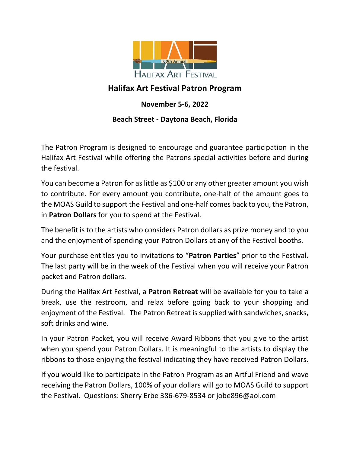

### **Halifax Art Festival Patron Program**

#### **November 5-6, 2022**

#### **Beach Street - Daytona Beach, Florida**

The Patron Program is designed to encourage and guarantee participation in the Halifax Art Festival while offering the Patrons special activities before and during the festival.

You can become a Patron for as little as \$100 or any other greater amount you wish to contribute. For every amount you contribute, one-half of the amount goes to the MOAS Guild to support the Festival and one-half comes back to you, the Patron, in **Patron Dollars** for you to spend at the Festival.

The benefit is to the artists who considers Patron dollars as prize money and to you and the enjoyment of spending your Patron Dollars at any of the Festival booths.

Your purchase entitles you to invitations to "**Patron Parties**" prior to the Festival. The last party will be in the week of the Festival when you will receive your Patron packet and Patron dollars.

During the Halifax Art Festival, a **Patron Retreat** will be available for you to take a break, use the restroom, and relax before going back to your shopping and enjoyment of the Festival. The Patron Retreat is supplied with sandwiches, snacks, soft drinks and wine.

In your Patron Packet, you will receive Award Ribbons that you give to the artist when you spend your Patron Dollars. It is meaningful to the artists to display the ribbons to those enjoying the festival indicating they have received Patron Dollars.

If you would like to participate in the Patron Program as an Artful Friend and wave receiving the Patron Dollars, 100% of your dollars will go to MOAS Guild to support the Festival. Questions: Sherry Erbe 386-679-8534 or jobe896@aol.com